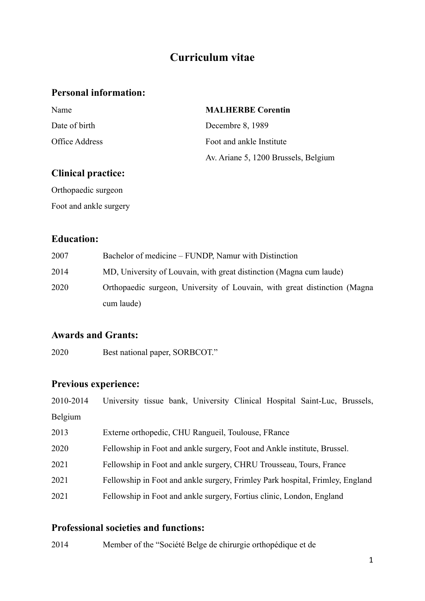# **Curriculum vitae**

## **Personal information:**

| Name           | <b>MALHERBE Corentin</b>             |
|----------------|--------------------------------------|
| Date of birth  | Decembre 8, 1989                     |
| Office Address | Foot and ankle Institute             |
|                | Av. Ariane 5, 1200 Brussels, Belgium |

## **Clinical practice:**

Orthopaedic surgeon Foot and ankle surgery

### **Education:**

| 2007 | Bachelor of medicine – FUNDP, Namur with Distinction                      |
|------|---------------------------------------------------------------------------|
| 2014 | MD, University of Louvain, with great distinction (Magna cum laude)       |
| 2020 | Orthopaedic surgeon, University of Louvain, with great distinction (Magna |
|      | cum laude)                                                                |

## **Awards and Grants:**

2020 Best national paper, SORBCOT."

# **Previous experience:**

| 2010-2014 | University tissue bank, University Clinical Hospital Saint-Luc, Brussels,     |
|-----------|-------------------------------------------------------------------------------|
| Belgium   |                                                                               |
| 2013      | Externe orthopedic, CHU Rangueil, Toulouse, FRance                            |
| 2020      | Fellowship in Foot and ankle surgery, Foot and Ankle institute, Brussel.      |
| 2021      | Fellowship in Foot and ankle surgery, CHRU Trousseau, Tours, France           |
| 2021      | Fellowship in Foot and ankle surgery, Frimley Park hospital, Frimley, England |
| 2021      | Fellowship in Foot and ankle surgery, Fortius clinic, London, England         |

#### **Professional societies and functions:**

2014 Member of the "Société Belge de chirurgie orthopédique et de